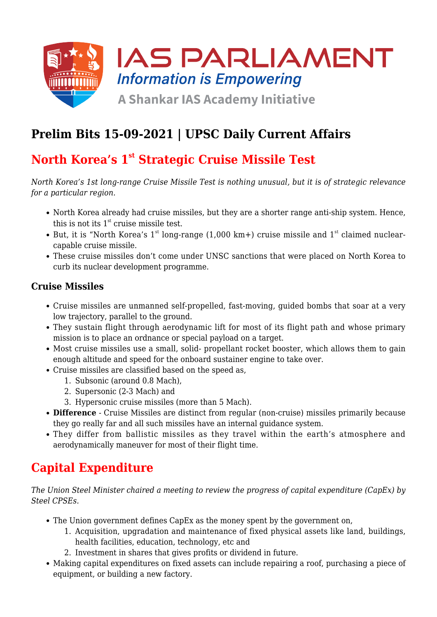

# **Prelim Bits 15-09-2021 | UPSC Daily Current Affairs**

# **North Korea's 1st Strategic Cruise Missile Test**

*North Korea's 1st long-range Cruise Missile Test is nothing unusual, but it is of strategic relevance for a particular region.*

- North Korea already had cruise missiles, but they are a shorter range anti-ship system. Hence, this is not its  $1<sup>st</sup>$  cruise missile test.
- But, it is "North Korea's  $1<sup>st</sup>$  long-range (1,000 km+) cruise missile and  $1<sup>st</sup>$  claimed nuclearcapable cruise missile.
- These cruise missiles don't come under UNSC sanctions that were placed on North Korea to curb its nuclear development programme.

### **Cruise Missiles**

- Cruise missiles are unmanned self-propelled, fast-moving, guided bombs that soar at a very low trajectory, parallel to the ground.
- They sustain flight through aerodynamic lift for most of its flight path and whose primary mission is to place an ordnance or special payload on a target.
- Most cruise missiles use a small, solid- propellant rocket booster, which allows them to gain enough altitude and speed for the onboard sustainer engine to take over.
- Cruise missiles are classified based on the speed as,
	- 1. Subsonic (around 0.8 Mach),
	- 2. Supersonic (2-3 Mach) and
	- 3. Hypersonic cruise missiles (more than 5 Mach).
- **Difference** Cruise Missiles are distinct from regular (non-cruise) missiles primarily because they go really far and all such missiles have an internal guidance system.
- They differ from ballistic missiles as they travel within the earth's atmosphere and aerodynamically maneuver for most of their flight time.

### **Capital Expenditure**

*The Union Steel Minister chaired a meeting to review the progress of capital expenditure (CapEx) by Steel CPSEs.*

- The Union government defines CapEx as the money spent by the government on,
	- 1. Acquisition, upgradation and maintenance of fixed physical assets like land, buildings, health facilities, education, technology, etc and
	- 2. Investment in shares that gives profits or dividend in future.
- Making capital expenditures on fixed assets can include repairing a roof, purchasing a piece of equipment, or building a new factory.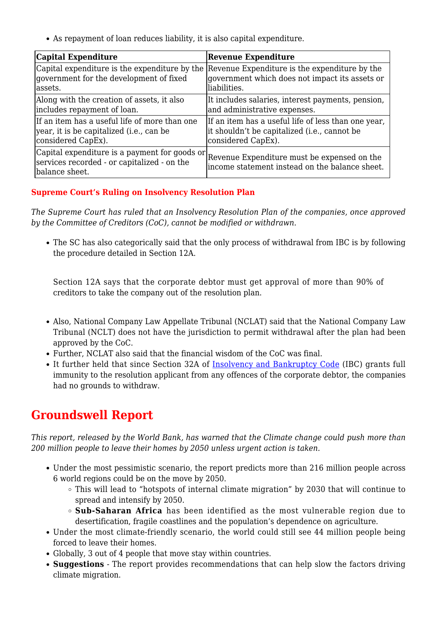As repayment of loan reduces liability, it is also capital expenditure.

| Capital Expenditure                                                                                             | <b>Revenue Expenditure</b>                                                                                                                                    |
|-----------------------------------------------------------------------------------------------------------------|---------------------------------------------------------------------------------------------------------------------------------------------------------------|
| government for the development of fixed<br>lassets.                                                             | Capital expenditure is the expenditure by the Revenue Expenditure is the expenditure by the<br>government which does not impact its assets or<br>liabilities. |
| Along with the creation of assets, it also<br>includes repayment of loan.                                       | It includes salaries, interest payments, pension,<br>and administrative expenses.                                                                             |
| If an item has a useful life of more than one<br>year, it is be capitalized (i.e., can be<br>considered CapEx). | If an item has a useful life of less than one year,<br>it shouldn't be capitalized (i.e., cannot be<br>considered CapEx).                                     |
| Capital expenditure is a payment for goods or<br>services recorded - or capitalized - on the<br>balance sheet.  | Revenue Expenditure must be expensed on the<br>income statement instead on the balance sheet.                                                                 |

#### **Supreme Court's Ruling on Insolvency Resolution Plan**

*The Supreme Court has ruled that an Insolvency Resolution Plan of the companies, once approved by the Committee of Creditors (CoC), cannot be modified or withdrawn.*

The SC has also categorically said that the only process of withdrawal from IBC is by following the procedure detailed in Section 12A.

Section 12A says that the corporate debtor must get approval of more than 90% of creditors to take the company out of the resolution plan.

- Also, National Company Law Appellate Tribunal (NCLAT) said that the National Company Law Tribunal (NCLT) does not have the jurisdiction to permit withdrawal after the plan had been approved by the CoC.
- Further, NCLAT also said that the financial wisdom of the CoC was final.
- It further held that since Section 32A of [Insolvency and Bankruptcy Code](https://www.iasparliament.com/current-affairs/upsc-daily-current-affairs-prelim-bits-22-05-2021) (IBC) grants full immunity to the resolution applicant from any offences of the corporate debtor, the companies had no grounds to withdraw.

### **Groundswell Report**

*This report, released by the World Bank, has warned that the Climate change could push more than 200 million people to leave their homes by 2050 unless urgent action is taken.*

- Under the most pessimistic scenario, the report predicts more than 216 million people across 6 world regions could be on the move by 2050.
	- This will lead to "hotspots of internal climate migration" by 2030 that will continue to spread and intensify by 2050.
	- **Sub-Saharan Africa** has been identified as the most vulnerable region due to desertification, fragile coastlines and the population's dependence on agriculture.
- Under the most climate-friendly scenario, the world could still see 44 million people being forced to leave their homes.
- Globally, 3 out of 4 people that move stay within countries.
- **Suggestions** The report provides recommendations that can help slow the factors driving climate migration.